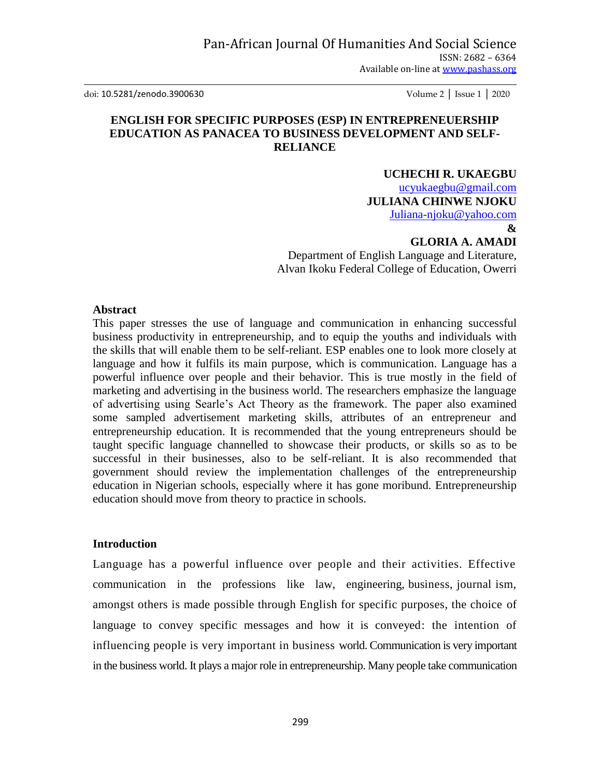doi: 10.5281/zenodo.3900630 Volume 2 │ Issue 1 │ 2020

## **ENGLISH FOR SPECIFIC PURPOSES (ESP) IN ENTREPRENEUERSHIP EDUCATION AS PANACEA TO BUSINESS DEVELOPMENT AND SELF-RELIANCE**

## **UCHECHI R. UKAEGBU**

[ucyukaegbu@gmail.com](mailto:ucyukaegbu@gmail.com) **JULIANA CHINWE NJOKU** [Juliana-njoku@yahoo.com](mailto:Juliana-njoku@yahoo.com)

## **&**

# **GLORIA A. AMADI**

Department of English Language and Literature, Alvan Ikoku Federal College of Education, Owerri

## **Abstract**

This paper stresses the use of language and communication in enhancing successful business productivity in entrepreneurship, and to equip the youths and individuals with the skills that will enable them to be self-reliant. ESP enables one to look more closely at language and how it fulfils its main purpose, which is communication. Language has a powerful influence over people and their behavior. This is true mostly in the field of marketing and advertising in the business world. The researchers emphasize the language of advertising using Searle"s Act Theory as the framework. The paper also examined some sampled advertisement marketing skills, attributes of an entrepreneur and entrepreneurship education. It is recommended that the young entrepreneurs should be taught specific language channelled to showcase their products, or skills so as to be successful in their businesses, also to be self-reliant. It is also recommended that government should review the implementation challenges of the entrepreneurship education in Nigerian schools, especially where it has gone moribund. Entrepreneurship education should move from theory to practice in schools.

## **Introduction**

Language has a powerful influence over people and their activities. Effective communication in the professions like law, engineering, business, journal ism, amongst others is made possible through English for specific purposes, the choice of language to convey specific messages and how it is conveyed: the intention of influencing people is very important in business world. Communication is very important in the business world. It plays a major role in entrepreneurship. Many people take communication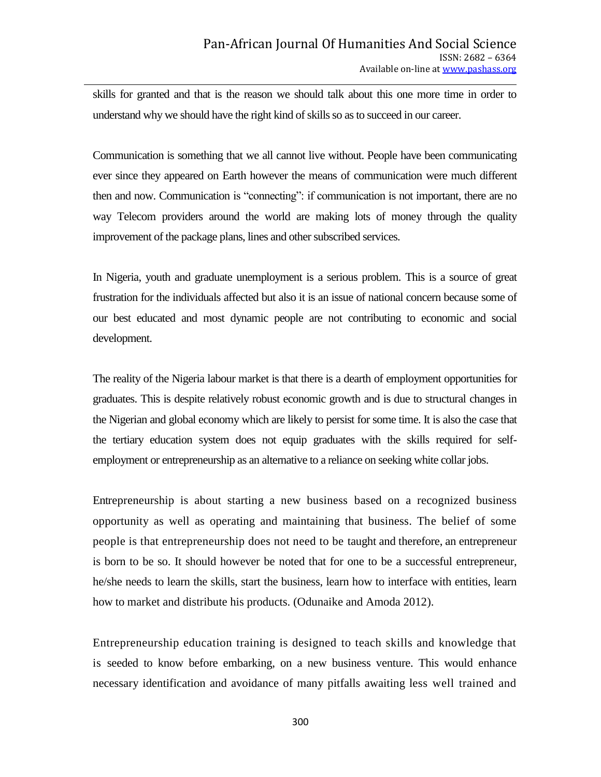skills for granted and that is the reason we should talk about this one more time in order to understand why we should have the right kind of skills so as to succeed in our career.

Communication is something that we all cannot live without. People have been communicating ever since they appeared on Earth however the means of communication were much different then and now. Communication is "connecting": if communication is not important, there are no way Telecom providers around the world are making lots of money through the quality improvement of the package plans, lines and other subscribed services.

In Nigeria, youth and graduate unemployment is a serious problem. This is a source of great frustration for the individuals affected but also it is an issue of national concern because some of our best educated and most dynamic people are not contributing to economic and social development.

The reality of the Nigeria labour market is that there is a dearth of employment opportunities for graduates. This is despite relatively robust economic growth and is due to structural changes in the Nigerian and global economy which are likely to persist for some time. It is also the case that the tertiary education system does not equip graduates with the skills required for selfemployment or entrepreneurship as an alternative to a reliance on seeking white collar jobs.

Entrepreneurship is about starting a new business based on a recognized business opportunity as well as operating and maintaining that business. The belief of some people is that entrepreneurship does not need to be taught and therefore, an entrepreneur is born to be so. It should however be noted that for one to be a successful entrepreneur, he/she needs to learn the skills, start the business, learn how to interface with entities, learn how to market and distribute his products. (Odunaike and Amoda 2012).

Entrepreneurship education training is designed to teach skills and knowledge that is seeded to know before embarking, on a new business venture. This would enhance necessary identification and avoidance of many pitfalls awaiting less well trained and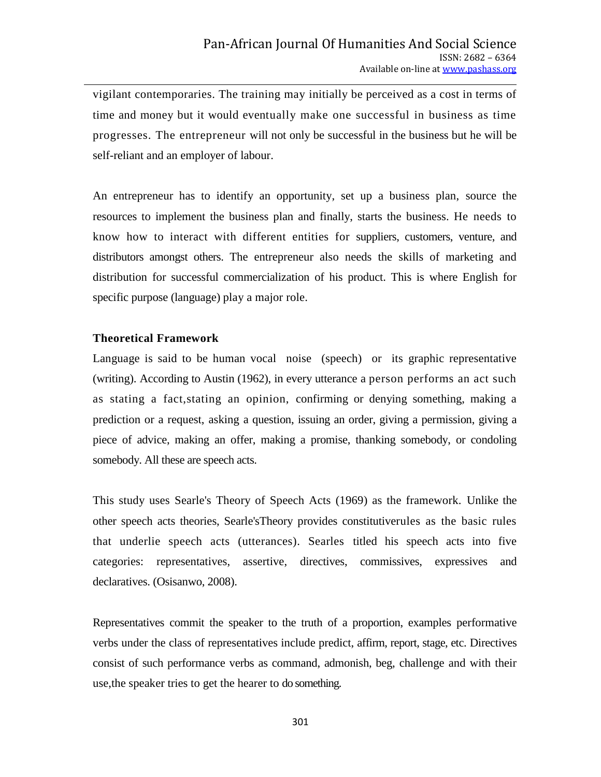vigilant contemporaries. The training may initially be perceived as a cost in terms of time and money but it would eventually make one successful in business as time progresses. The entrepreneur will not only be successful in the business but he will be self-reliant and an employer of labour.

An entrepreneur has to identify an opportunity, set up a business plan, source the resources to implement the business plan and finally, starts the business. He needs to know how to interact with different entities for suppliers, customers, venture, and distributors amongst others. The entrepreneur also needs the skills of marketing and distribution for successful commercialization of his product. This is where English for specific purpose (language) play a major role.

## **Theoretical Framework**

Language is said to be human vocal noise (speech) or its graphic representative (writing). According to Austin (1962), in every utterance a person performs an act such as stating a fact,stating an opinion, confirming or denying something, making a prediction or a request, asking a question, issuing an order, giving a permission, giving a piece of advice, making an offer, making a promise, thanking somebody, or condoling somebody. All these are speech acts.

This study uses Searle's Theory of Speech Acts (1969) as the framework. Unlike the other speech acts theories, Searle'sTheory provides constitutiverules as the basic rules that underlie speech acts (utterances). Searles titled his speech acts into five categories: representatives, assertive, directives, commissives, expressives and declaratives. (Osisanwo, 2008).

Representatives commit the speaker to the truth of a proportion, examples performative verbs under the class of representatives include predict, affirm, report, stage, etc. Directives consist of such performance verbs as command, admonish, beg, challenge and with their use,the speaker tries to get the hearer to do something.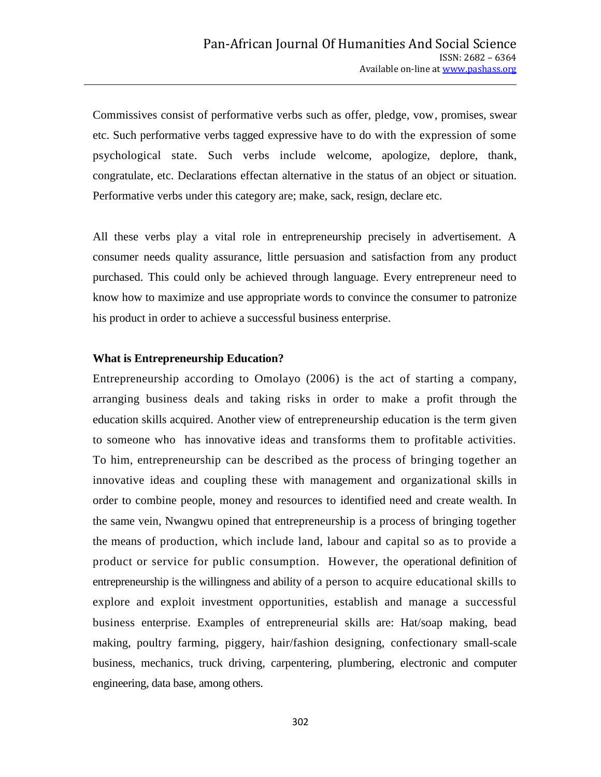Commissives consist of performative verbs such as offer, pledge, vow, promises, swear etc. Such performative verbs tagged expressive have to do with the expression of some psychological state. Such verbs include welcome, apologize, deplore, thank, congratulate, etc. Declarations effectan alternative in the status of an object or situation. Performative verbs under this category are; make, sack, resign, declare etc.

All these verbs play a vital role in entrepreneurship precisely in advertisement. A consumer needs quality assurance, little persuasion and satisfaction from any product purchased. This could only be achieved through language. Every entrepreneur need to know how to maximize and use appropriate words to convince the consumer to patronize his product in order to achieve a successful business enterprise.

### **What is Entrepreneurship Education?**

Entrepreneurship according to Omolayo (2006) is the act of starting a company, arranging business deals and taking risks in order to make a profit through the education skills acquired. Another view of entrepreneurship education is the term given to someone who has innovative ideas and transforms them to profitable activities. To him, entrepreneurship can be described as the process of bringing together an innovative ideas and coupling these with management and organizational skills in order to combine people, money and resources to identified need and create wealth. In the same vein, Nwangwu opined that entrepreneurship is a process of bringing together the means of production, which include land, labour and capital so as to provide a product or service for public consumption. However, the operational definition of entrepreneurship is the willingness and ability of a person to acquire educational skills to explore and exploit investment opportunities, establish and manage a successful business enterprise. Examples of entrepreneurial skills are: Hat/soap making, bead making, poultry farming, piggery, hair/fashion designing, confectionary small-scale business, mechanics, truck driving, carpentering, plumbering, electronic and computer engineering, data base, among others.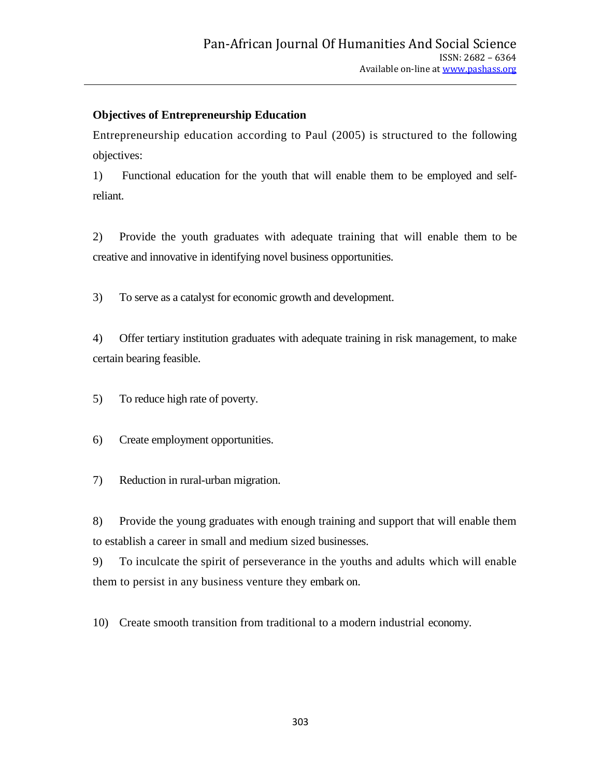## **Objectives of Entrepreneurship Education**

Entrepreneurship education according to Paul (2005) is structured to the following objectives:

1) Functional education for the youth that will enable them to be employed and selfreliant.

2) Provide the youth graduates with adequate training that will enable them to be creative and innovative in identifying novel business opportunities.

3) To serve as a catalyst for economic growth and development.

4) Offer tertiary institution graduates with adequate training in risk management, to make certain bearing feasible.

5) To reduce high rate of poverty.

6) Create employment opportunities.

7) Reduction in rural-urban migration.

8) Provide the young graduates with enough training and support that will enable them to establish a career in small and medium sized businesses.

9) To inculcate the spirit of perseverance in the youths and adults which will enable them to persist in any business venture they embark on.

10) Create smooth transition from traditional to a modern industrial economy.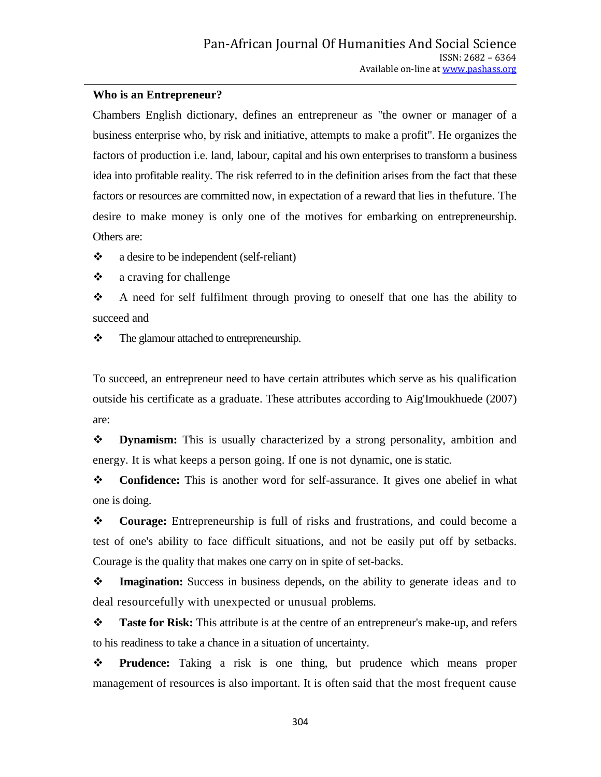## **Who is an Entrepreneur?**

Chambers English dictionary, defines an entrepreneur as "the owner or manager of a business enterprise who, by risk and initiative, attempts to make a profit". He organizes the factors of production i.e. land, labour, capital and his own enterprises to transform a business idea into profitable reality. The risk referred to in the definition arises from the fact that these factors or resources are committed now, in expectation of a reward that lies in thefuture. The desire to make money is only one of the motives for embarking on entrepreneurship. Others are:

• a desire to be independent (self-reliant)

 $\triangle$  a craving for challenge

 $\div$  A need for self fulfilment through proving to oneself that one has the ability to succeed and

• The glamour attached to entrepreneurship.

To succeed, an entrepreneur need to have certain attributes which serve as his qualification outside his certificate as a graduate. These attributes according to Aig'Imoukhuede (2007) are:

 **Dynamism:** This is usually characterized by a strong personality, ambition and energy. It is what keeps a person going. If one is not dynamic, one is static.

 **Confidence:** This is another word for self-assurance. It gives one abelief in what one is doing.

 **Courage:** Entrepreneurship is full of risks and frustrations, and could become a test of one's ability to face difficult situations, and not be easily put off by setbacks. Courage is the quality that makes one carry on in spite of set-backs.

**Imagination:** Success in business depends, on the ability to generate ideas and to deal resourcefully with unexpected or unusual problems.

 **Taste for Risk:** This attribute is at the centre of an entrepreneur's make-up, and refers to his readiness to take a chance in a situation of uncertainty.

**Prudence:** Taking a risk is one thing, but prudence which means proper management of resources is also important. It is often said that the most frequent cause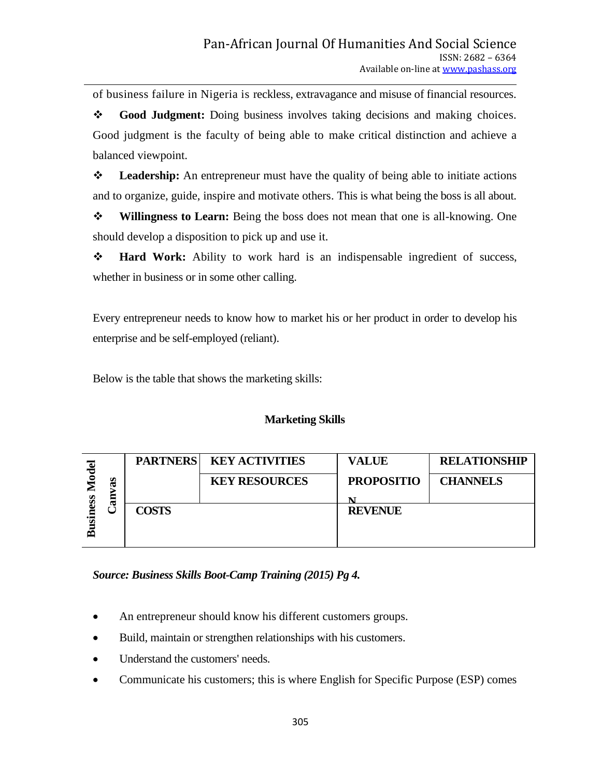of business failure in Nigeria is reckless, extravagance and misuse of financial resources.

 **Good Judgment:** Doing business involves taking decisions and making choices. Good judgment is the faculty of being able to make critical distinction and achieve a balanced viewpoint.

 **Leadership:** An entrepreneur must have the quality of being able to initiate actions and to organize, guide, inspire and motivate others. This is what being the boss is all about.

 **Willingness to Learn:** Being the boss does not mean that one is all-knowing. One should develop a disposition to pick up and use it.

 **Hard Work:** Ability to work hard is an indispensable ingredient of success, whether in business or in some other calling.

Every entrepreneur needs to know how to market his or her product in order to develop his enterprise and be self-employed (reliant).

Below is the table that shows the marketing skills:

## **Marketing Skills**

| ెల<br>70 |    | <b>PARTNERS</b> | <b>KEY ACTIVITIES</b> | <b>VALUE</b>      | <b>RELATIONSHIP</b> |
|----------|----|-----------------|-----------------------|-------------------|---------------------|
|          | æ  |                 | <b>KEY RESOURCES</b>  | <b>PROPOSITIO</b> | <b>CHANNELS</b>     |
| S        | an |                 |                       | N                 |                     |
|          |    | <b>COSTS</b>    |                       | <b>REVENUE</b>    |                     |
|          |    |                 |                       |                   |                     |
| ض        |    |                 |                       |                   |                     |

*Source: Business Skills Boot-Camp Training (2015) Pg 4.*

- An entrepreneur should know his different customers groups.
- Build, maintain or strengthen relationships with his customers.
- Understand the customers' needs.
- Communicate his customers; this is where English for Specific Purpose (ESP) comes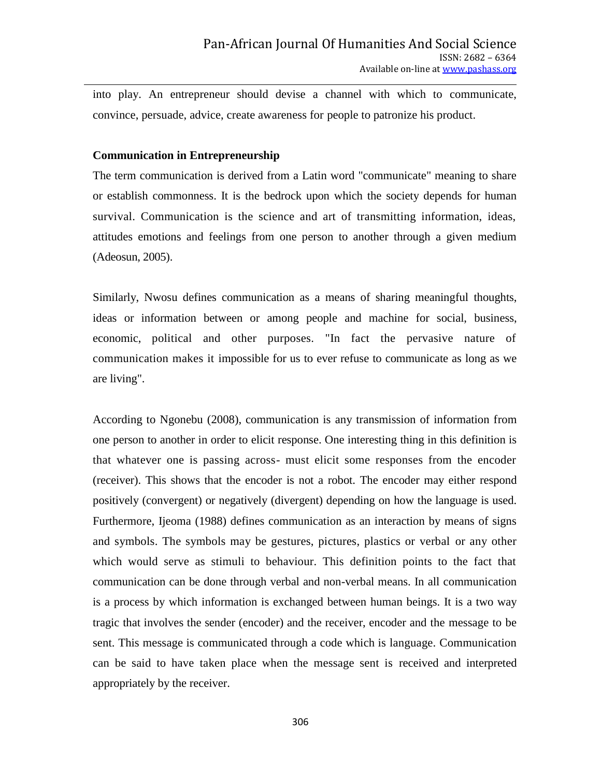into play. An entrepreneur should devise a channel with which to communicate, convince, persuade, advice, create awareness for people to patronize his product.

## **Communication in Entrepreneurship**

The term communication is derived from a Latin word "communicate" meaning to share or establish commonness. It is the bedrock upon which the society depends for human survival. Communication is the science and art of transmitting information, ideas, attitudes emotions and feelings from one person to another through a given medium (Adeosun, 2005).

Similarly, Nwosu defines communication as a means of sharing meaningful thoughts, ideas or information between or among people and machine for social, business, economic, political and other purposes. "In fact the pervasive nature of communication makes it impossible for us to ever refuse to communicate as long as we are living".

According to Ngonebu (2008), communication is any transmission of information from one person to another in order to elicit response. One interesting thing in this definition is that whatever one is passing across- must elicit some responses from the encoder (receiver). This shows that the encoder is not a robot. The encoder may either respond positively (convergent) or negatively (divergent) depending on how the language is used. Furthermore, Ijeoma (1988) defines communication as an interaction by means of signs and symbols. The symbols may be gestures, pictures, plastics or verbal or any other which would serve as stimuli to behaviour. This definition points to the fact that communication can be done through verbal and non-verbal means. In all communication is a process by which information is exchanged between human beings. It is a two way tragic that involves the sender (encoder) and the receiver, encoder and the message to be sent. This message is communicated through a code which is language. Communication can be said to have taken place when the message sent is received and interpreted appropriately by the receiver.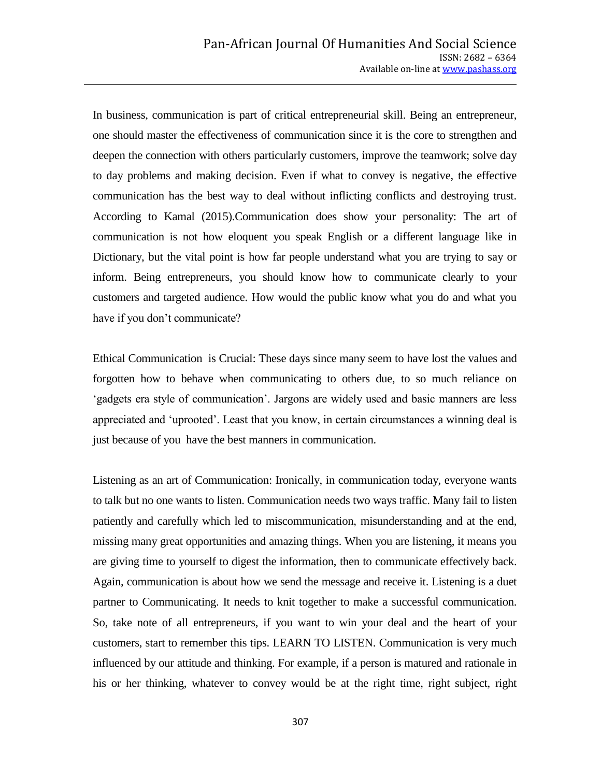In business, communication is part of critical entrepreneurial skill. Being an entrepreneur, one should master the effectiveness of communication since it is the core to strengthen and deepen the connection with others particularly customers, improve the teamwork; solve day to day problems and making decision. Even if what to convey is negative, the effective communication has the best way to deal without inflicting conflicts and destroying trust. According to Kamal (2015).Communication does show your personality: The art of communication is not how eloquent you speak English or a different language like in Dictionary, but the vital point is how far people understand what you are trying to say or inform. Being entrepreneurs, you should know how to communicate clearly to your customers and targeted audience. How would the public know what you do and what you have if you don't communicate?

Ethical Communication is Crucial: These days since many seem to have lost the values and forgotten how to behave when communicating to others due, to so much reliance on 'gadgets era style of communication'. Jargons are widely used and basic manners are less appreciated and "uprooted". Least that you know, in certain circumstances a winning deal is just because of you have the best manners in communication.

Listening as an art of Communication: Ironically, in communication today, everyone wants to talk but no one wants to listen. Communication needs two ways traffic. Many fail to listen patiently and carefully which led to miscommunication, misunderstanding and at the end, missing many great opportunities and amazing things. When you are listening, it means you are giving time to yourself to digest the information, then to communicate effectively back. Again, communication is about how we send the message and receive it. Listening is a duet partner to Communicating. It needs to knit together to make a successful communication. So, take note of all entrepreneurs, if you want to win your deal and the heart of your customers, start to remember this tips. LEARN TO LISTEN. Communication is very much influenced by our attitude and thinking. For example, if a person is matured and rationale in his or her thinking, whatever to convey would be at the right time, right subject, right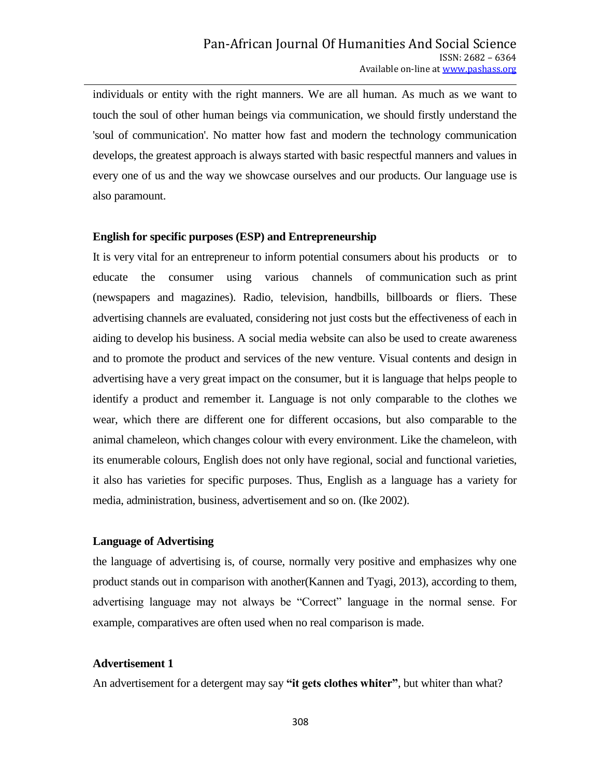individuals or entity with the right manners. We are all human. As much as we want to touch the soul of other human beings via communication, we should firstly understand the 'soul of communication'. No matter how fast and modern the technology communication develops, the greatest approach is always started with basic respectful manners and values in every one of us and the way we showcase ourselves and our products. Our language use is also paramount.

### **English for specific purposes (ESP) and Entrepreneurship**

It is very vital for an entrepreneur to inform potential consumers about his products or to educate the consumer using various channels of communication such as print (newspapers and magazines). Radio, television, handbills, billboards or fliers. These advertising channels are evaluated, considering not just costs but the effectiveness of each in aiding to develop his business. A social media website can also be used to create awareness and to promote the product and services of the new venture. Visual contents and design in advertising have a very great impact on the consumer, but it is language that helps people to identify a product and remember it. Language is not only comparable to the clothes we wear, which there are different one for different occasions, but also comparable to the animal chameleon, which changes colour with every environment. Like the chameleon, with its enumerable colours, English does not only have regional, social and functional varieties, it also has varieties for specific purposes. Thus, English as a language has a variety for media, administration, business, advertisement and so on. (Ike 2002).

### **Language of Advertising**

the language of advertising is, of course, normally very positive and emphasizes why one product stands out in comparison with another(Kannen and Tyagi, 2013), according to them, advertising language may not always be "Correct" language in the normal sense. For example, comparatives are often used when no real comparison is made.

### **Advertisement 1**

An advertisement for a detergent may say **"it gets clothes whiter"**, but whiter than what?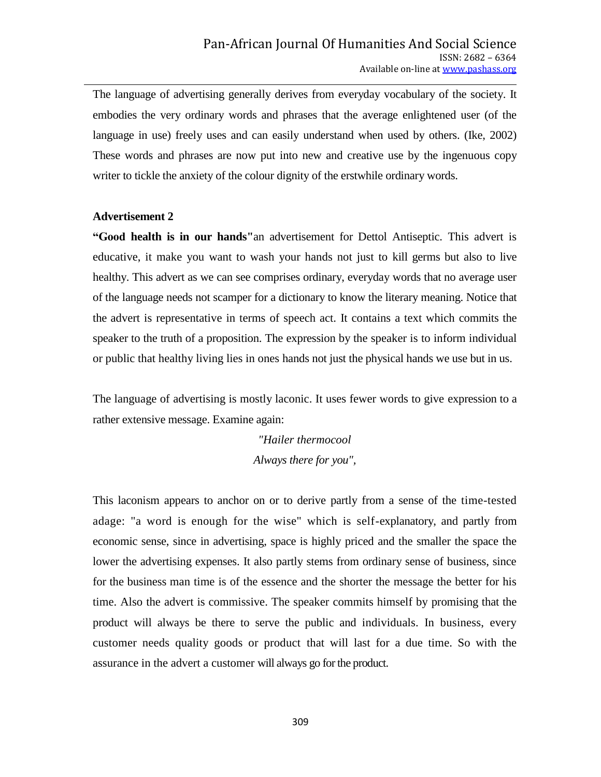The language of advertising generally derives from everyday vocabulary of the society. It embodies the very ordinary words and phrases that the average enlightened user (of the language in use) freely uses and can easily understand when used by others. (Ike, 2002) These words and phrases are now put into new and creative use by the ingenuous copy writer to tickle the anxiety of the colour dignity of the erstwhile ordinary words.

### **Advertisement 2**

**"Good health is in our hands"**an advertisement for Dettol Antiseptic. This advert is educative, it make you want to wash your hands not just to kill germs but also to live healthy. This advert as we can see comprises ordinary, everyday words that no average user of the language needs not scamper for a dictionary to know the literary meaning. Notice that the advert is representative in terms of speech act. It contains a text which commits the speaker to the truth of a proposition. The expression by the speaker is to inform individual or public that healthy living lies in ones hands not just the physical hands we use but in us.

The language of advertising is mostly laconic. It uses fewer words to give expression to a rather extensive message. Examine again:

> *"Hailer thermocool Always there for you",*

This laconism appears to anchor on or to derive partly from a sense of the time-tested adage: "a word is enough for the wise" which is self-explanatory, and partly from economic sense, since in advertising, space is highly priced and the smaller the space the lower the advertising expenses. It also partly stems from ordinary sense of business, since for the business man time is of the essence and the shorter the message the better for his time. Also the advert is commissive. The speaker commits himself by promising that the product will always be there to serve the public and individuals. In business, every customer needs quality goods or product that will last for a due time. So with the assurance in the advert a customer will always go for the product.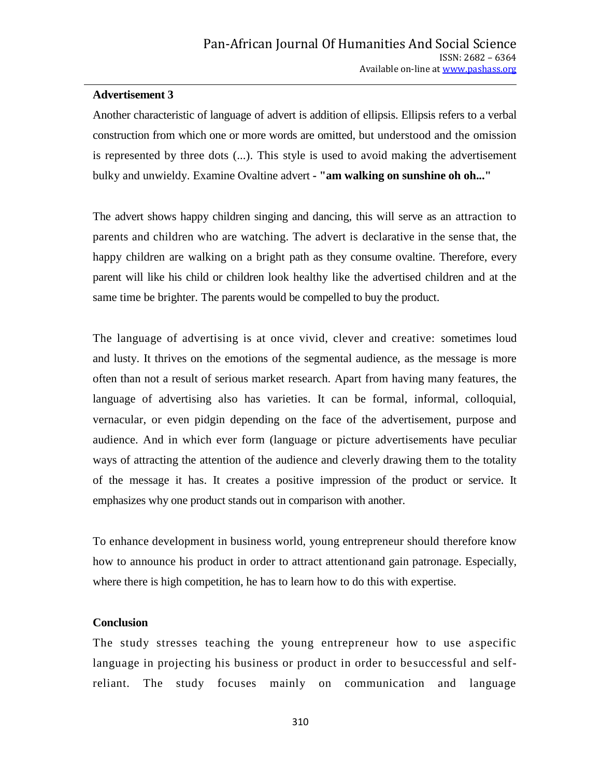## **Advertisement 3**

Another characteristic of language of advert is addition of ellipsis. Ellipsis refers to a verbal construction from which one or more words are omitted, but understood and the omission is represented by three dots (...). This style is used to avoid making the advertisement bulky and unwieldy. Examine Ovaltine advert **- "am walking on sunshine oh oh..."**

The advert shows happy children singing and dancing, this will serve as an attraction to parents and children who are watching. The advert is declarative in the sense that, the happy children are walking on a bright path as they consume ovaltine. Therefore, every parent will like his child or children look healthy like the advertised children and at the same time be brighter. The parents would be compelled to buy the product.

The language of advertising is at once vivid, clever and creative: sometimes loud and lusty. It thrives on the emotions of the segmental audience, as the message is more often than not a result of serious market research. Apart from having many features, the language of advertising also has varieties. It can be formal, informal, colloquial, vernacular, or even pidgin depending on the face of the advertisement, purpose and audience. And in which ever form (language or picture advertisements have peculiar ways of attracting the attention of the audience and cleverly drawing them to the totality of the message it has. It creates a positive impression of the product or service. It emphasizes why one product stands out in comparison with another.

To enhance development in business world, young entrepreneur should therefore know how to announce his product in order to attract attentionand gain patronage. Especially, where there is high competition, he has to learn how to do this with expertise.

### **Conclusion**

The study stresses teaching the young entrepreneur how to use aspecific language in projecting his business or product in order to besuccessful and selfreliant. The study focuses mainly on communication and language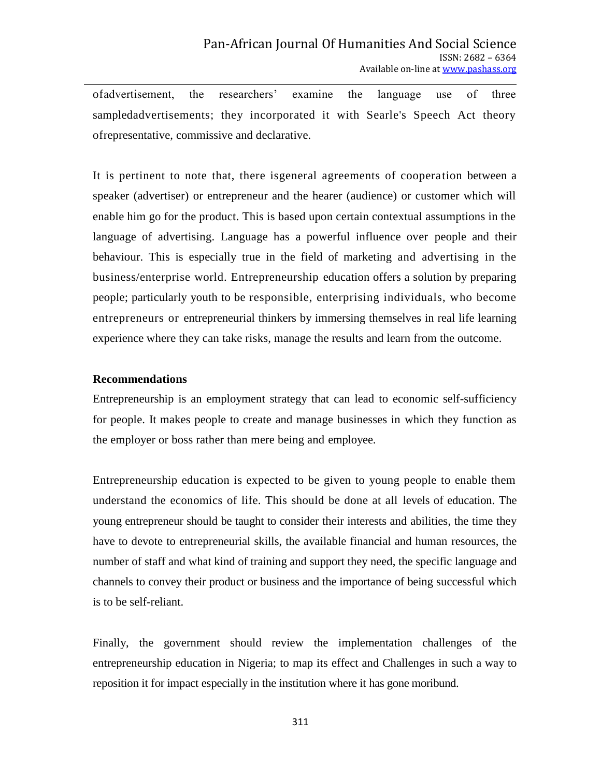ofadvertisement, the researchers" examine the language use of three sampledadvertisements; they incorporated it with Searle's Speech Act theory ofrepresentative, commissive and declarative.

It is pertinent to note that, there isgeneral agreements of cooperation between a speaker (advertiser) or entrepreneur and the hearer (audience) or customer which will enable him go for the product. This is based upon certain contextual assumptions in the language of advertising. Language has a powerful influence over people and their behaviour. This is especially true in the field of marketing and advertising in the business/enterprise world. Entrepreneurship education offers a solution by preparing people; particularly youth to be responsible, enterprising individuals, who become entrepreneurs or entrepreneurial thinkers by immersing themselves in real life learning experience where they can take risks, manage the results and learn from the outcome.

## **Recommendations**

Entrepreneurship is an employment strategy that can lead to economic self-sufficiency for people. It makes people to create and manage businesses in which they function as the employer or boss rather than mere being and employee.

Entrepreneurship education is expected to be given to young people to enable them understand the economics of life. This should be done at all levels of education. The young entrepreneur should be taught to consider their interests and abilities, the time they have to devote to entrepreneurial skills, the available financial and human resources, the number of staff and what kind of training and support they need, the specific language and channels to convey their product or business and the importance of being successful which is to be self-reliant.

Finally, the government should review the implementation challenges of the entrepreneurship education in Nigeria; to map its effect and Challenges in such a way to reposition it for impact especially in the institution where it has gone moribund.